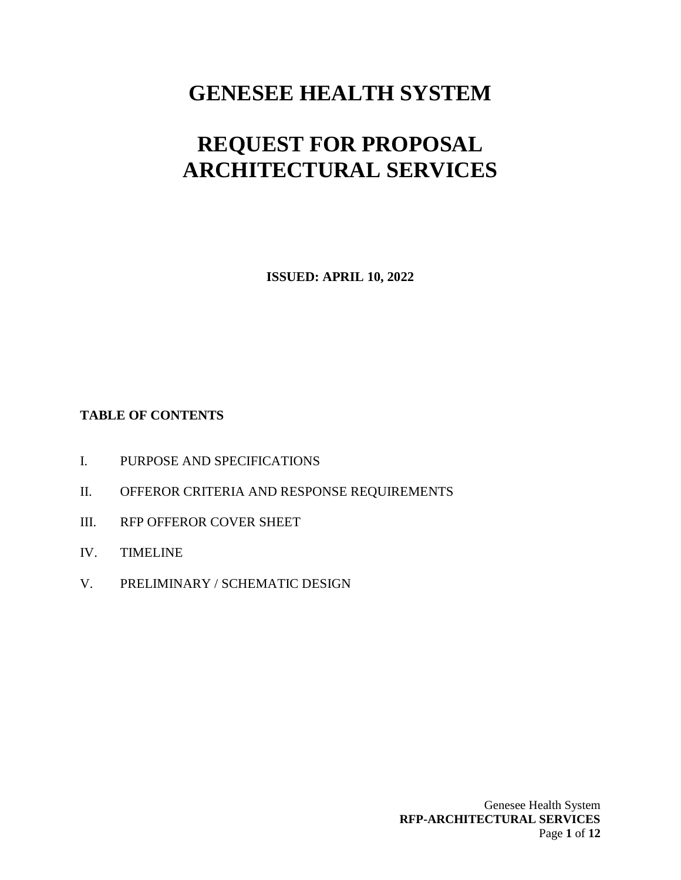# **GENESEE HEALTH SYSTEM**

# **REQUEST FOR PROPOSAL ARCHITECTURAL SERVICES**

**ISSUED: APRIL 10, 2022**

# **TABLE OF CONTENTS**

- I. PURPOSE AND SPECIFICATIONS
- II. OFFEROR CRITERIA AND RESPONSE REQUIREMENTS
- III. RFP OFFEROR COVER SHEET
- IV. TIMELINE
- V. PRELIMINARY / SCHEMATIC DESIGN

Genesee Health System **RFP-ARCHITECTURAL SERVICES** Page **1** of **12**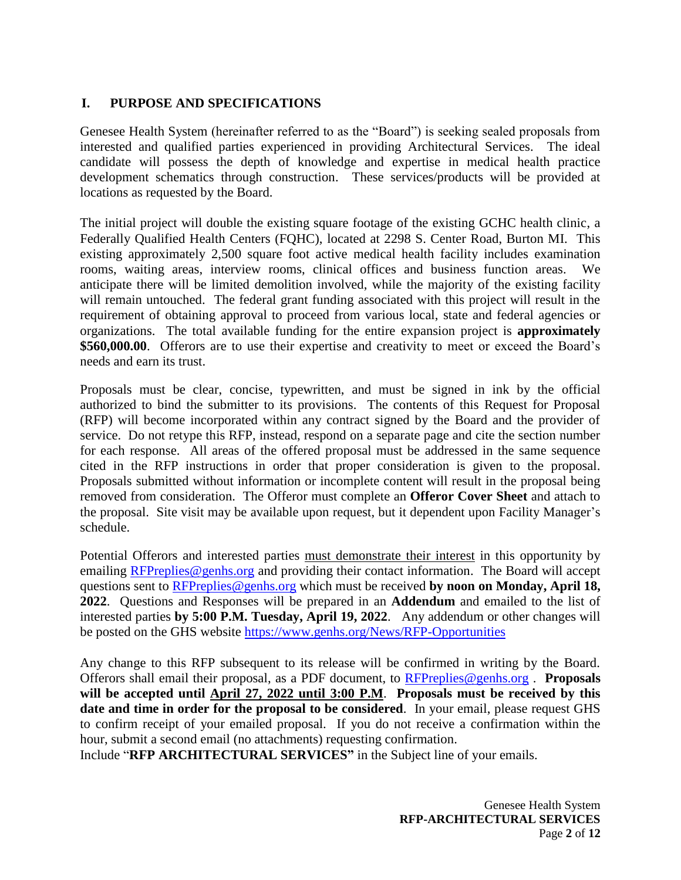# **I. PURPOSE AND SPECIFICATIONS**

Genesee Health System (hereinafter referred to as the "Board") is seeking sealed proposals from interested and qualified parties experienced in providing Architectural Services. The ideal candidate will possess the depth of knowledge and expertise in medical health practice development schematics through construction. These services/products will be provided at locations as requested by the Board.

The initial project will double the existing square footage of the existing GCHC health clinic, a Federally Qualified Health Centers (FQHC), located at 2298 S. Center Road, Burton MI. This existing approximately 2,500 square foot active medical health facility includes examination rooms, waiting areas, interview rooms, clinical offices and business function areas. We anticipate there will be limited demolition involved, while the majority of the existing facility will remain untouched. The federal grant funding associated with this project will result in the requirement of obtaining approval to proceed from various local, state and federal agencies or organizations. The total available funding for the entire expansion project is **approximately \$560,000.00**. Offerors are to use their expertise and creativity to meet or exceed the Board's needs and earn its trust.

Proposals must be clear, concise, typewritten, and must be signed in ink by the official authorized to bind the submitter to its provisions. The contents of this Request for Proposal (RFP) will become incorporated within any contract signed by the Board and the provider of service. Do not retype this RFP, instead, respond on a separate page and cite the section number for each response. All areas of the offered proposal must be addressed in the same sequence cited in the RFP instructions in order that proper consideration is given to the proposal. Proposals submitted without information or incomplete content will result in the proposal being removed from consideration. The Offeror must complete an **Offeror Cover Sheet** and attach to the proposal. Site visit may be available upon request, but it dependent upon Facility Manager's schedule.

Potential Offerors and interested parties must demonstrate their interest in this opportunity by emailing [RFPreplies@genhs.org](mailto:RFPreplies@genhs.org) and providing their contact information. The Board will accept questions sent to [RFPreplies@genhs.org](mailto:RFPreplies@genhs.org) which must be received **by noon on Monday, April 18, 2022**. Questions and Responses will be prepared in an **Addendum** and emailed to the list of interested parties **by 5:00 P.M. Tuesday, April 19, 2022**. Any addendum or other changes will be posted on the GHS website <https://www.genhs.org/News/RFP-Opportunities>

Any change to this RFP subsequent to its release will be confirmed in writing by the Board. Offerors shall email their proposal, as a PDF document, to [RFPreplies@genhs.org](mailto:RFPreplies@genhs.org) . **Proposals will be accepted until April 27, 2022 until 3:00 P.M**. **Proposals must be received by this date and time in order for the proposal to be considered**. In your email, please request GHS to confirm receipt of your emailed proposal. If you do not receive a confirmation within the hour, submit a second email (no attachments) requesting confirmation.

Include "**RFP ARCHITECTURAL SERVICES"** in the Subject line of your emails.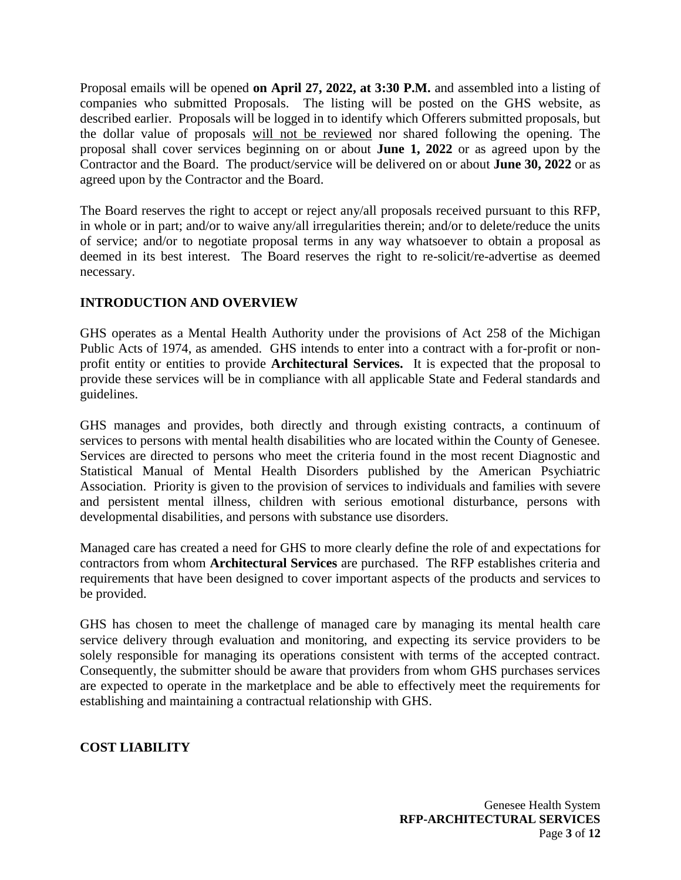Proposal emails will be opened **on April 27, 2022, at 3:30 P.M.** and assembled into a listing of companies who submitted Proposals. The listing will be posted on the GHS website, as described earlier. Proposals will be logged in to identify which Offerers submitted proposals, but the dollar value of proposals will not be reviewed nor shared following the opening. The proposal shall cover services beginning on or about **June 1, 2022** or as agreed upon by the Contractor and the Board. The product/service will be delivered on or about **June 30, 2022** or as agreed upon by the Contractor and the Board.

The Board reserves the right to accept or reject any/all proposals received pursuant to this RFP, in whole or in part; and/or to waive any/all irregularities therein; and/or to delete/reduce the units of service; and/or to negotiate proposal terms in any way whatsoever to obtain a proposal as deemed in its best interest. The Board reserves the right to re-solicit/re-advertise as deemed necessary.

# **INTRODUCTION AND OVERVIEW**

GHS operates as a Mental Health Authority under the provisions of Act 258 of the Michigan Public Acts of 1974, as amended. GHS intends to enter into a contract with a for-profit or nonprofit entity or entities to provide **Architectural Services.** It is expected that the proposal to provide these services will be in compliance with all applicable State and Federal standards and guidelines.

GHS manages and provides, both directly and through existing contracts, a continuum of services to persons with mental health disabilities who are located within the County of Genesee. Services are directed to persons who meet the criteria found in the most recent Diagnostic and Statistical Manual of Mental Health Disorders published by the American Psychiatric Association. Priority is given to the provision of services to individuals and families with severe and persistent mental illness, children with serious emotional disturbance, persons with developmental disabilities, and persons with substance use disorders.

Managed care has created a need for GHS to more clearly define the role of and expectations for contractors from whom **Architectural Services** are purchased. The RFP establishes criteria and requirements that have been designed to cover important aspects of the products and services to be provided.

GHS has chosen to meet the challenge of managed care by managing its mental health care service delivery through evaluation and monitoring, and expecting its service providers to be solely responsible for managing its operations consistent with terms of the accepted contract. Consequently, the submitter should be aware that providers from whom GHS purchases services are expected to operate in the marketplace and be able to effectively meet the requirements for establishing and maintaining a contractual relationship with GHS.

#### **COST LIABILITY**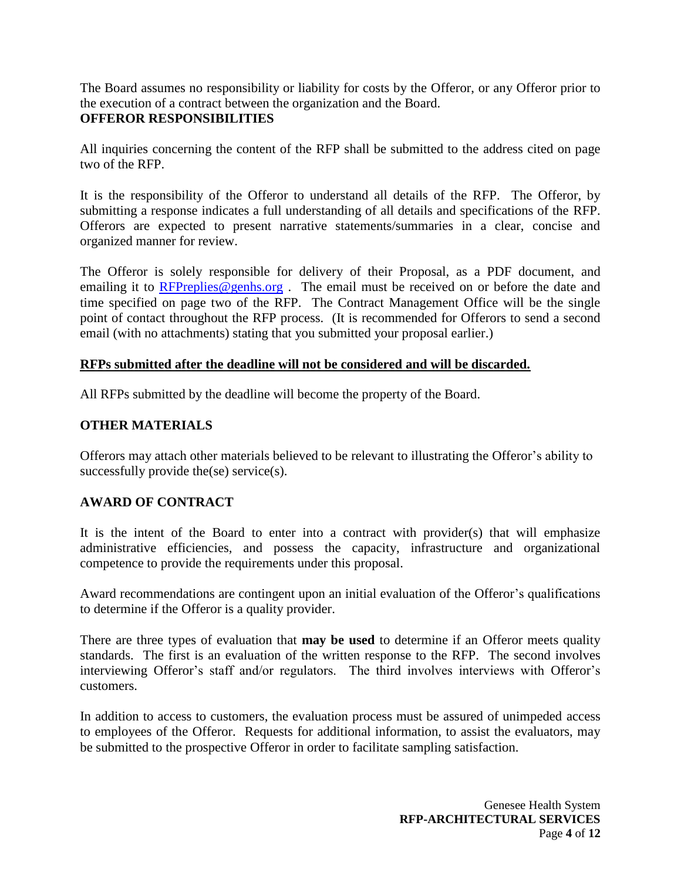The Board assumes no responsibility or liability for costs by the Offeror, or any Offeror prior to the execution of a contract between the organization and the Board.

#### **OFFEROR RESPONSIBILITIES**

All inquiries concerning the content of the RFP shall be submitted to the address cited on page two of the RFP.

It is the responsibility of the Offeror to understand all details of the RFP. The Offeror, by submitting a response indicates a full understanding of all details and specifications of the RFP. Offerors are expected to present narrative statements/summaries in a clear, concise and organized manner for review.

The Offeror is solely responsible for delivery of their Proposal, as a PDF document, and emailing it to [RFPreplies@genhs.org](mailto:RFPreplies@genhs.org). The email must be received on or before the date and time specified on page two of the RFP. The Contract Management Office will be the single point of contact throughout the RFP process. (It is recommended for Offerors to send a second email (with no attachments) stating that you submitted your proposal earlier.)

#### **RFPs submitted after the deadline will not be considered and will be discarded.**

All RFPs submitted by the deadline will become the property of the Board.

#### **OTHER MATERIALS**

Offerors may attach other materials believed to be relevant to illustrating the Offeror's ability to successfully provide the(se) service(s).

#### **AWARD OF CONTRACT**

It is the intent of the Board to enter into a contract with provider(s) that will emphasize administrative efficiencies, and possess the capacity, infrastructure and organizational competence to provide the requirements under this proposal.

Award recommendations are contingent upon an initial evaluation of the Offeror's qualifications to determine if the Offeror is a quality provider.

There are three types of evaluation that **may be used** to determine if an Offeror meets quality standards. The first is an evaluation of the written response to the RFP. The second involves interviewing Offeror's staff and/or regulators. The third involves interviews with Offeror's customers.

In addition to access to customers, the evaluation process must be assured of unimpeded access to employees of the Offeror. Requests for additional information, to assist the evaluators, may be submitted to the prospective Offeror in order to facilitate sampling satisfaction.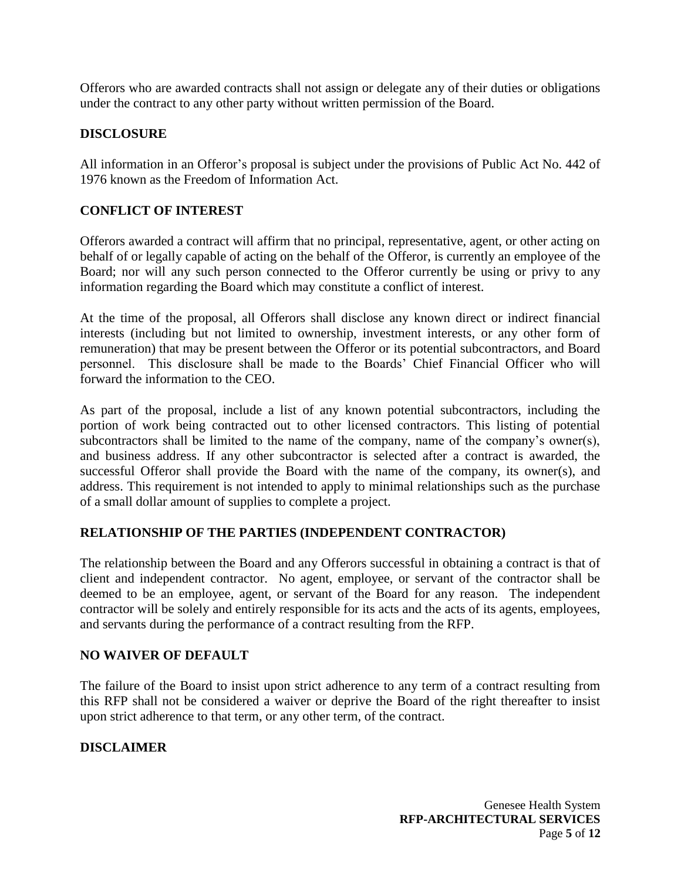Offerors who are awarded contracts shall not assign or delegate any of their duties or obligations under the contract to any other party without written permission of the Board.

#### **DISCLOSURE**

All information in an Offeror's proposal is subject under the provisions of Public Act No. 442 of 1976 known as the Freedom of Information Act.

#### **CONFLICT OF INTEREST**

Offerors awarded a contract will affirm that no principal, representative, agent, or other acting on behalf of or legally capable of acting on the behalf of the Offeror, is currently an employee of the Board; nor will any such person connected to the Offeror currently be using or privy to any information regarding the Board which may constitute a conflict of interest.

At the time of the proposal, all Offerors shall disclose any known direct or indirect financial interests (including but not limited to ownership, investment interests, or any other form of remuneration) that may be present between the Offeror or its potential subcontractors, and Board personnel. This disclosure shall be made to the Boards' Chief Financial Officer who will forward the information to the CEO.

As part of the proposal, include a list of any known potential subcontractors, including the portion of work being contracted out to other licensed contractors. This listing of potential subcontractors shall be limited to the name of the company, name of the company's owner(s), and business address. If any other subcontractor is selected after a contract is awarded, the successful Offeror shall provide the Board with the name of the company, its owner(s), and address. This requirement is not intended to apply to minimal relationships such as the purchase of a small dollar amount of supplies to complete a project.

#### **RELATIONSHIP OF THE PARTIES (INDEPENDENT CONTRACTOR)**

The relationship between the Board and any Offerors successful in obtaining a contract is that of client and independent contractor. No agent, employee, or servant of the contractor shall be deemed to be an employee, agent, or servant of the Board for any reason. The independent contractor will be solely and entirely responsible for its acts and the acts of its agents, employees, and servants during the performance of a contract resulting from the RFP.

#### **NO WAIVER OF DEFAULT**

The failure of the Board to insist upon strict adherence to any term of a contract resulting from this RFP shall not be considered a waiver or deprive the Board of the right thereafter to insist upon strict adherence to that term, or any other term, of the contract.

#### **DISCLAIMER**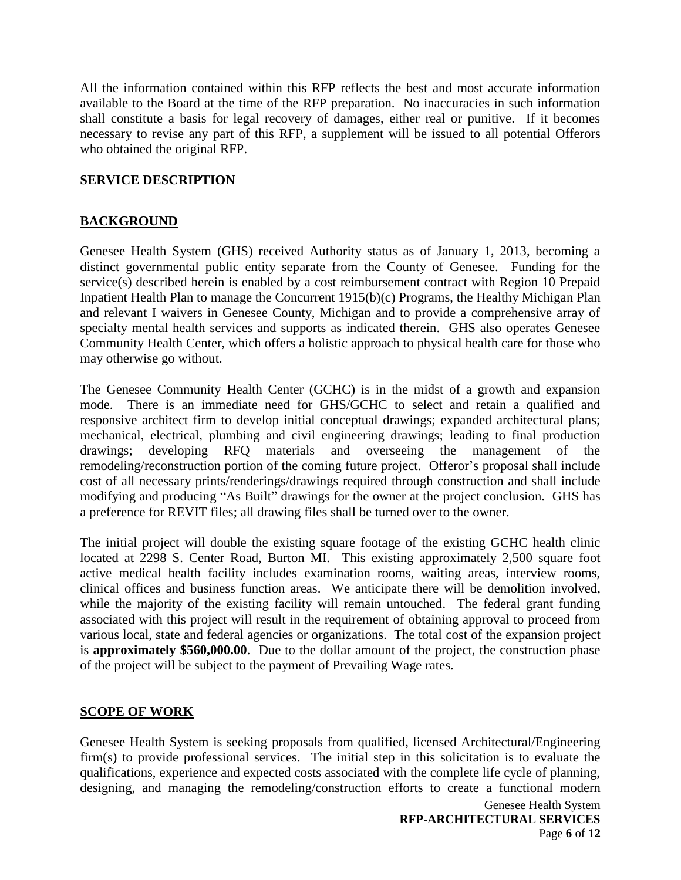All the information contained within this RFP reflects the best and most accurate information available to the Board at the time of the RFP preparation. No inaccuracies in such information shall constitute a basis for legal recovery of damages, either real or punitive. If it becomes necessary to revise any part of this RFP, a supplement will be issued to all potential Offerors who obtained the original RFP.

#### **SERVICE DESCRIPTION**

# **BACKGROUND**

Genesee Health System (GHS) received Authority status as of January 1, 2013, becoming a distinct governmental public entity separate from the County of Genesee. Funding for the service(s) described herein is enabled by a cost reimbursement contract with Region 10 Prepaid Inpatient Health Plan to manage the Concurrent 1915(b)(c) Programs, the Healthy Michigan Plan and relevant I waivers in Genesee County, Michigan and to provide a comprehensive array of specialty mental health services and supports as indicated therein. GHS also operates Genesee Community Health Center, which offers a holistic approach to physical health care for those who may otherwise go without.

The Genesee Community Health Center (GCHC) is in the midst of a growth and expansion mode. There is an immediate need for GHS/GCHC to select and retain a qualified and responsive architect firm to develop initial conceptual drawings; expanded architectural plans; mechanical, electrical, plumbing and civil engineering drawings; leading to final production drawings; developing RFQ materials and overseeing the management of the remodeling/reconstruction portion of the coming future project. Offeror's proposal shall include cost of all necessary prints/renderings/drawings required through construction and shall include modifying and producing "As Built" drawings for the owner at the project conclusion. GHS has a preference for REVIT files; all drawing files shall be turned over to the owner.

The initial project will double the existing square footage of the existing GCHC health clinic located at 2298 S. Center Road, Burton MI. This existing approximately 2,500 square foot active medical health facility includes examination rooms, waiting areas, interview rooms, clinical offices and business function areas. We anticipate there will be demolition involved, while the majority of the existing facility will remain untouched. The federal grant funding associated with this project will result in the requirement of obtaining approval to proceed from various local, state and federal agencies or organizations. The total cost of the expansion project is **approximately \$560,000.00**. Due to the dollar amount of the project, the construction phase of the project will be subject to the payment of Prevailing Wage rates.

#### **SCOPE OF WORK**

Genesee Health System is seeking proposals from qualified, licensed Architectural/Engineering firm(s) to provide professional services. The initial step in this solicitation is to evaluate the qualifications, experience and expected costs associated with the complete life cycle of planning, designing, and managing the remodeling/construction efforts to create a functional modern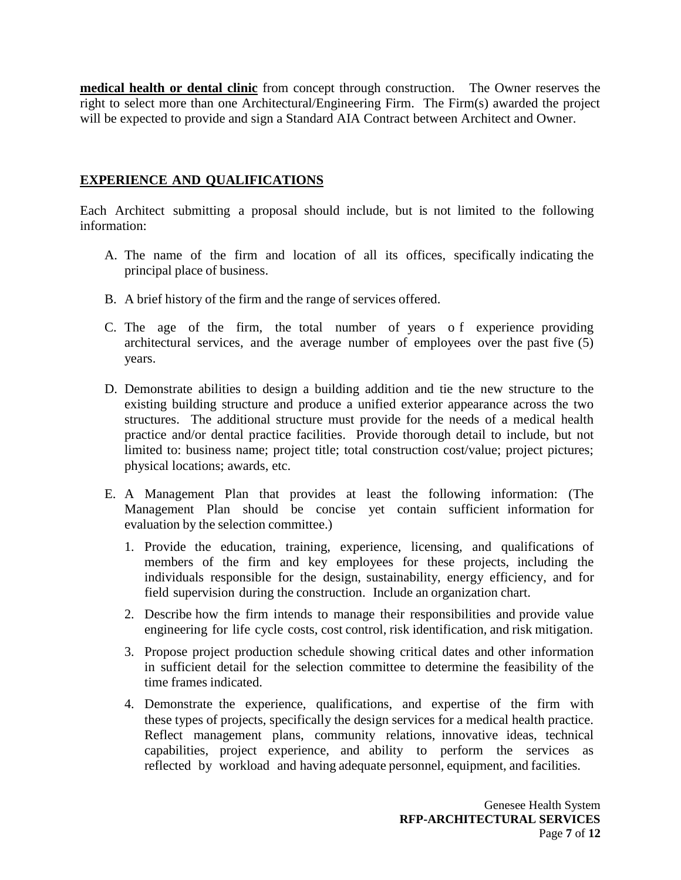**medical health or dental clinic** from concept through construction. The Owner reserves the right to select more than one Architectural/Engineering Firm. The Firm(s) awarded the project will be expected to provide and sign a Standard AIA Contract between Architect and Owner.

# **EXPERIENCE AND QUALIFICATIONS**

Each Architect submitting a proposal should include, but is not limited to the following information:

- A. The name of the firm and location of all its offices, specifically indicating the principal place of business.
- B. A brief history of the firm and the range of services offered.
- C. The age of the firm, the total number of years o f experience providing architectural services, and the average number of employees over the past five (5) years.
- D. Demonstrate abilities to design a building addition and tie the new structure to the existing building structure and produce a unified exterior appearance across the two structures. The additional structure must provide for the needs of a medical health practice and/or dental practice facilities. Provide thorough detail to include, but not limited to: business name; project title; total construction cost/value; project pictures; physical locations; awards, etc.
- E. A Management Plan that provides at least the following information: (The Management Plan should be concise yet contain sufficient information for evaluation by the selection committee.)
	- 1. Provide the education, training, experience, licensing, and qualifications of members of the firm and key employees for these projects, including the individuals responsible for the design, sustainability, energy efficiency, and for field supervision during the construction. Include an organization chart.
	- 2. Describe how the firm intends to manage their responsibilities and provide value engineering for life cycle costs, cost control, risk identification, and risk mitigation.
	- 3. Propose project production schedule showing critical dates and other information in sufficient detail for the selection committee to determine the feasibility of the time frames indicated.
	- 4. Demonstrate the experience, qualifications, and expertise of the firm with these types of projects, specifically the design services for a medical health practice. Reflect management plans, community relations, innovative ideas, technical capabilities, project experience, and ability to perform the services as reflected by workload and having adequate personnel, equipment, and facilities.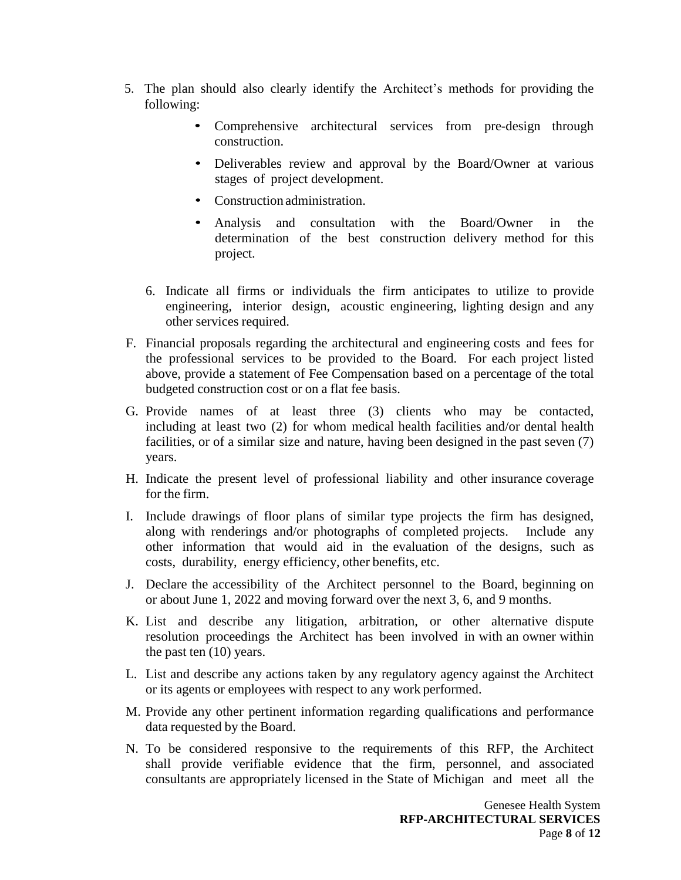- 5. The plan should also clearly identify the Architect's methods for providing the following:
	- Comprehensive architectural services from pre-design through construction.
	- Deliverables review and approval by the Board/Owner at various stages of project development.
	- Construction administration.
	- Analysis and consultation with the Board/Owner in the determination of the best construction delivery method for this project.
	- 6. Indicate all firms or individuals the firm anticipates to utilize to provide engineering, interior design, acoustic engineering, lighting design and any other services required.
- F. Financial proposals regarding the architectural and engineering costs and fees for the professional services to be provided to the Board. For each project listed above, provide a statement of Fee Compensation based on a percentage of the total budgeted construction cost or on a flat fee basis.
- G. Provide names of at least three (3) clients who may be contacted, including at least two (2) for whom medical health facilities and/or dental health facilities, or of a similar size and nature, having been designed in the past seven (7) years.
- H. Indicate the present level of professional liability and other insurance coverage for the firm.
- I. Include drawings of floor plans of similar type projects the firm has designed, along with renderings and/or photographs of completed projects. Include any other information that would aid in the evaluation of the designs, such as costs, durability, energy efficiency, other benefits, etc.
- J. Declare the accessibility of the Architect personnel to the Board, beginning on or about June 1, 2022 and moving forward over the next 3, 6, and 9 months.
- K. List and describe any litigation, arbitration, or other alternative dispute resolution proceedings the Architect has been involved in with an owner within the past ten (10) years.
- L. List and describe any actions taken by any regulatory agency against the Architect or its agents or employees with respect to any work performed.
- M. Provide any other pertinent information regarding qualifications and performance data requested by the Board.
- N. To be considered responsive to the requirements of this RFP, the Architect shall provide verifiable evidence that the firm, personnel, and associated consultants are appropriately licensed in the State of Michigan and meet all the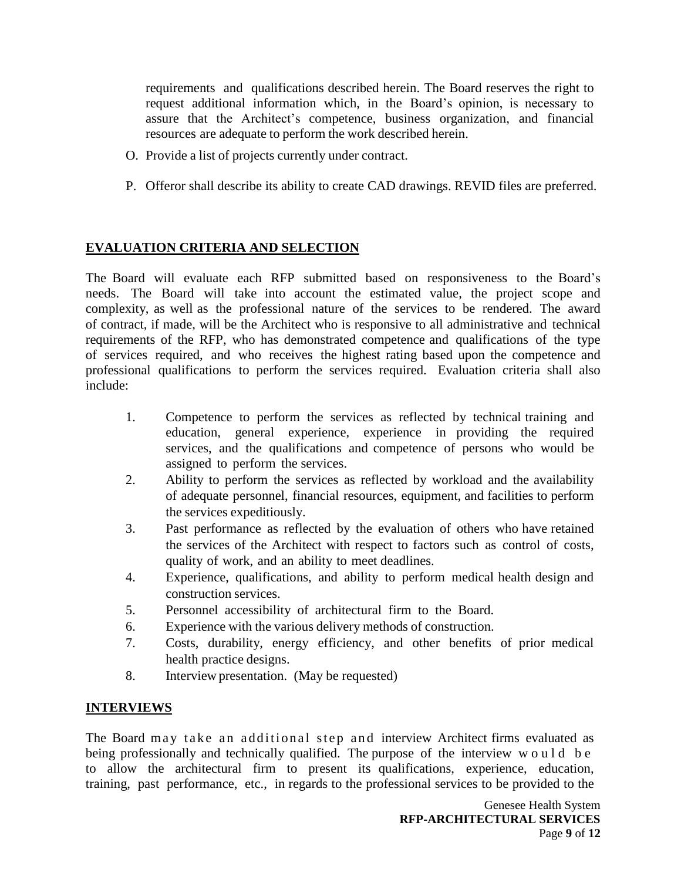requirements and qualifications described herein. The Board reserves the right to request additional information which, in the Board's opinion, is necessary to assure that the Architect's competence, business organization, and financial resources are adequate to perform the work described herein.

- O. Provide a list of projects currently under contract.
- P. Offeror shall describe its ability to create CAD drawings. REVID files are preferred.

# **EVALUATION CRITERIA AND SELECTION**

The Board will evaluate each RFP submitted based on responsiveness to the Board's needs. The Board will take into account the estimated value, the project scope and complexity, as well as the professional nature of the services to be rendered. The award of contract, if made, will be the Architect who is responsive to all administrative and technical requirements of the RFP, who has demonstrated competence and qualifications of the type of services required, and who receives the highest rating based upon the competence and professional qualifications to perform the services required. Evaluation criteria shall also include:

- 1. Competence to perform the services as reflected by technical training and education, general experience, experience in providing the required services, and the qualifications and competence of persons who would be assigned to perform the services.
- 2. Ability to perform the services as reflected by workload and the availability of adequate personnel, financial resources, equipment, and facilities to perform the services expeditiously.
- 3. Past performance as reflected by the evaluation of others who have retained the services of the Architect with respect to factors such as control of costs, quality of work, and an ability to meet deadlines.
- 4. Experience, qualifications, and ability to perform medical health design and construction services.
- 5. Personnel accessibility of architectural firm to the Board.
- 6. Experience with the various delivery methods of construction.
- 7. Costs, durability, energy efficiency, and other benefits of prior medical health practice designs.
- 8. Interview presentation. (May be requested)

# **INTERVIEWS**

The Board may take an additional step and interview Architect firms evaluated as being professionally and technically qualified. The purpose of the interview w o u l d b e to allow the architectural firm to present its qualifications, experience, education, training, past performance, etc., in regards to the professional services to be provided to the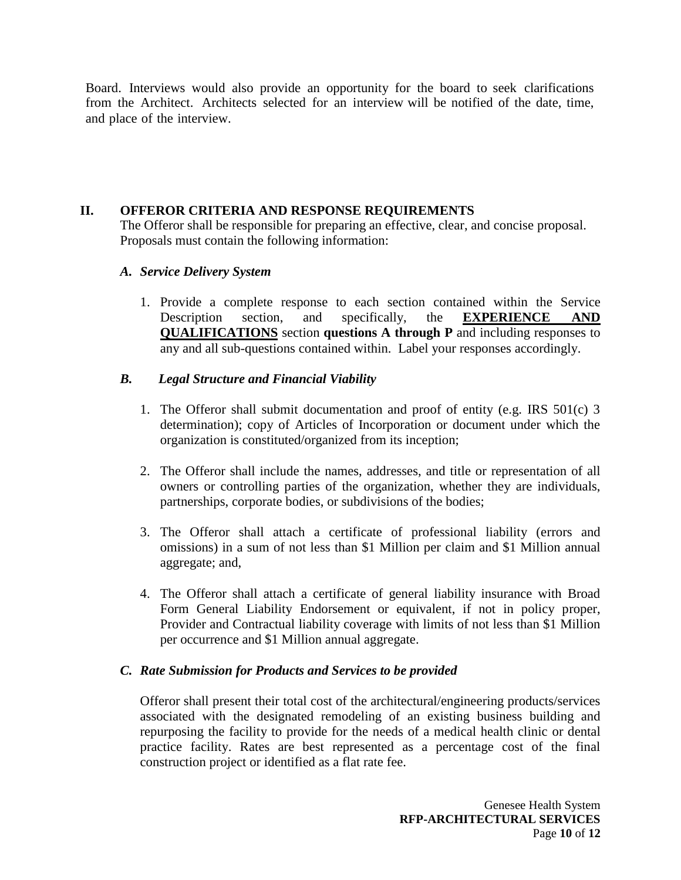Board. Interviews would also provide an opportunity for the board to seek clarifications from the Architect. Architects selected for an interview will be notified of the date, time, and place of the interview.

#### **II. OFFEROR CRITERIA AND RESPONSE REQUIREMENTS**

The Offeror shall be responsible for preparing an effective, clear, and concise proposal. Proposals must contain the following information:

#### *A. Service Delivery System*

1. Provide a complete response to each section contained within the Service Description section, and specifically, the **EXPERIENCE AND QUALIFICATIONS** section **questions A through P** and including responses to any and all sub-questions contained within. Label your responses accordingly.

#### *B. Legal Structure and Financial Viability*

- 1. The Offeror shall submit documentation and proof of entity (e.g. IRS 501(c) 3 determination); copy of Articles of Incorporation or document under which the organization is constituted/organized from its inception;
- 2. The Offeror shall include the names, addresses, and title or representation of all owners or controlling parties of the organization, whether they are individuals, partnerships, corporate bodies, or subdivisions of the bodies;
- 3. The Offeror shall attach a certificate of professional liability (errors and omissions) in a sum of not less than \$1 Million per claim and \$1 Million annual aggregate; and,
- 4. The Offeror shall attach a certificate of general liability insurance with Broad Form General Liability Endorsement or equivalent, if not in policy proper, Provider and Contractual liability coverage with limits of not less than \$1 Million per occurrence and \$1 Million annual aggregate.

#### *C. Rate Submission for Products and Services to be provided*

Offeror shall present their total cost of the architectural/engineering products/services associated with the designated remodeling of an existing business building and repurposing the facility to provide for the needs of a medical health clinic or dental practice facility. Rates are best represented as a percentage cost of the final construction project or identified as a flat rate fee.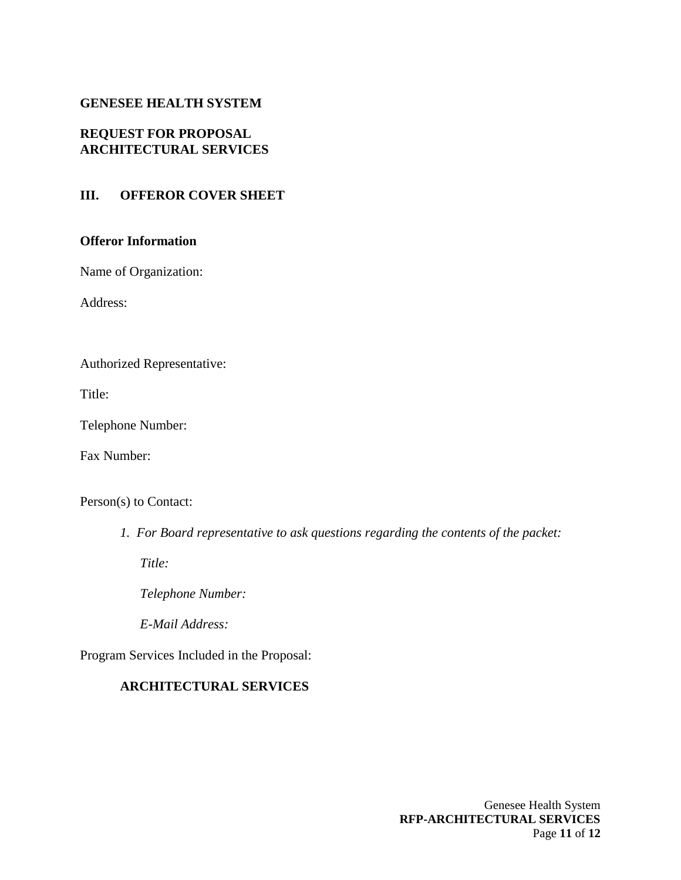#### **GENESEE HEALTH SYSTEM**

#### **REQUEST FOR PROPOSAL ARCHITECTURAL SERVICES**

#### **III. OFFEROR COVER SHEET**

#### **Offeror Information**

Name of Organization:

Address:

Authorized Representative:

Title:

Telephone Number:

Fax Number:

Person(s) to Contact:

*1. For Board representative to ask questions regarding the contents of the packet:*

*Title:* 

*Telephone Number:* 

*E-Mail Address:*

Program Services Included in the Proposal:

# **ARCHITECTURAL SERVICES**

Genesee Health System **RFP-ARCHITECTURAL SERVICES** Page **11** of **12**